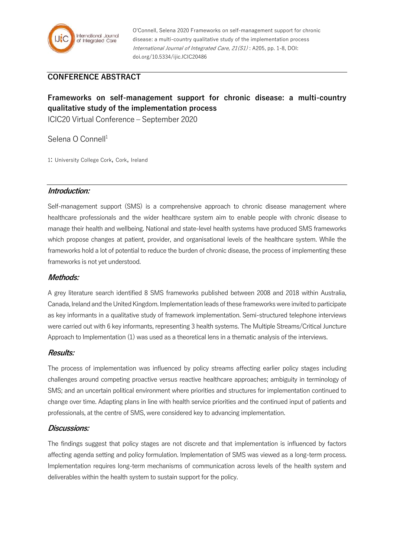

O'Connell, Selena 2020 Frameworks on self-management support for chronic disease: a multi-country qualitative study of the implementation process International Journal of Integrated Care, 21(S1) : A205, pp. 1-8, DOI: doi.org/10.5334/ijic.ICIC20486

# **CONFERENCE ABSTRACT**

# **Frameworks on self-management support for chronic disease: a multi-country qualitative study of the implementation process**

ICIC20 Virtual Conference – September 2020

Selena O Connell<sup>1</sup>

1: University College Cork, Cork, Ireland

#### **Introduction:**

Self-management support (SMS) is a comprehensive approach to chronic disease management where healthcare professionals and the wider healthcare system aim to enable people with chronic disease to manage their health and wellbeing. National and state-level health systems have produced SMS frameworks which propose changes at patient, provider, and organisational levels of the healthcare system. While the frameworks hold a lot of potential to reduce the burden of chronic disease, the process of implementing these frameworks is not yet understood.

#### **Methods:**

A grey literature search identified 8 SMS frameworks published between 2008 and 2018 within Australia, Canada, Ireland and the United Kingdom. Implementation leads of these frameworks were invited to participate as key informants in a qualitative study of framework implementation. Semi-structured telephone interviews were carried out with 6 key informants, representing 3 health systems. The Multiple Streams/Critical Juncture Approach to Implementation (1) was used as a theoretical lens in a thematic analysis of the interviews.

#### **Results:**

The process of implementation was influenced by policy streams affecting earlier policy stages including challenges around competing proactive versus reactive healthcare approaches; ambiguity in terminology of SMS; and an uncertain political environment where priorities and structures for implementation continued to change over time. Adapting plans in line with health service priorities and the continued input of patients and professionals, at the centre of SMS, were considered key to advancing implementation.

#### **Discussions:**

The findings suggest that policy stages are not discrete and that implementation is influenced by factors affecting agenda setting and policy formulation. Implementation of SMS was viewed as a long-term process. Implementation requires long-term mechanisms of communication across levels of the health system and deliverables within the health system to sustain support for the policy.